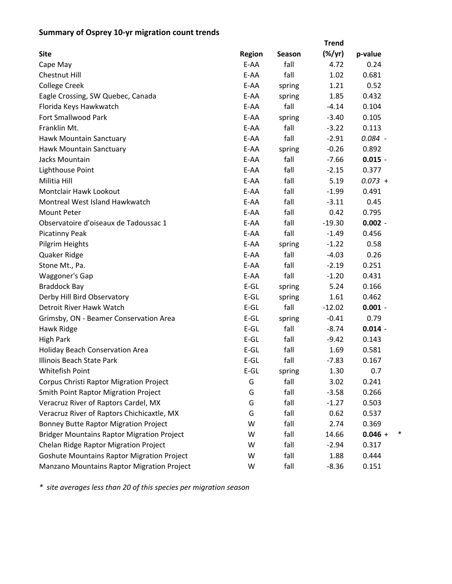## **Summary of Osprey 10‐yr migration count trends**

|                                                   |               |        | <b>Trend</b>    |                |
|---------------------------------------------------|---------------|--------|-----------------|----------------|
| <b>Site</b>                                       | <b>Region</b> | Season | $(\frac{9}{7})$ | p-value        |
| Cape May                                          | E-AA          | fall   | 4.72            | 0.24           |
| Chestnut Hill                                     | E-AA          | fall   | 1.02            | 0.681          |
| <b>College Creek</b>                              | E-AA          | spring | 1.21            | 0.52           |
| Eagle Crossing, SW Quebec, Canada                 | E-AA          | spring | 1.85            | 0.432          |
| Florida Keys Hawkwatch                            | E-AA          | fall   | $-4.14$         | 0.104          |
| <b>Fort Smallwood Park</b>                        | E-AA          | spring | $-3.40$         | 0.105          |
| Franklin Mt.                                      | E-AA          | fall   | $-3.22$         | 0.113          |
| Hawk Mountain Sanctuary                           | E-AA          | fall   | $-2.91$         | $0.084 -$      |
| Hawk Mountain Sanctuary                           | E-AA          | spring | $-0.26$         | 0.892          |
| Jacks Mountain                                    | E-AA          | fall   | $-7.66$         | $0.015 -$      |
| Lighthouse Point                                  | E-AA          | fall   | $-2.15$         | 0.377          |
| Militia Hill                                      | E-AA          | fall   | 5.19            | $0.073 +$      |
| <b>Montclair Hawk Lookout</b>                     | E-AA          | fall   | $-1.99$         | 0.491          |
| Montreal West Island Hawkwatch                    | E-AA          | fall   | $-3.11$         | 0.45           |
| <b>Mount Peter</b>                                | E-AA          | fall   | 0.42            | 0.795          |
| Observatoire d'oiseaux de Tadoussac 1             | E-AA          | fall   | $-19.30$        | $0.002 -$      |
| <b>Picatinny Peak</b>                             | E-AA          | fall   | $-1.49$         | 0.456          |
| Pilgrim Heights                                   | E-AA          | spring | $-1.22$         | 0.58           |
| Quaker Ridge                                      | E-AA          | fall   | $-4.03$         | 0.26           |
| Stone Mt., Pa.                                    | E-AA          | fall   | $-2.19$         | 0.251          |
| Waggoner's Gap                                    | E-AA          | fall   | $-1.20$         | 0.431          |
| <b>Braddock Bay</b>                               | $E-GL$        | spring | 5.24            | 0.166          |
| Derby Hill Bird Observatory                       | $E-GL$        | spring | 1.61            | 0.462          |
| Detroit River Hawk Watch                          | $E-GL$        | fall   | $-12.02$        | $0.001 -$      |
| Grimsby, ON - Beamer Conservation Area            | $E-GL$        | spring | $-0.41$         | 0.79           |
| Hawk Ridge                                        | $E-GL$        | fall   | $-8.74$         | $0.014 -$      |
| <b>High Park</b>                                  | $E-GL$        | fall   | $-9.42$         | 0.143          |
| <b>Holiday Beach Conservation Area</b>            | $E-GL$        | fall   | 1.69            | 0.581          |
| Illinois Beach State Park                         | $E-GL$        | fall   | $-7.83$         | 0.167          |
| Whitefish Point                                   | $E$ -GL       | spring | 1.30            | 0.7            |
| Corpus Christi Raptor Migration Project           | G             | fall   | 3.02            | 0.241          |
| <b>Smith Point Raptor Migration Project</b>       | G             | fall   | $-3.58$         | 0.266          |
| Veracruz River of Raptors Cardel, MX              | G             | fall   | $-1.27$         | 0.503          |
| Veracruz River of Raptors Chichicaxtle, MX        | G             | fall   | 0.62            | 0.537          |
| <b>Bonney Butte Raptor Migration Project</b>      | W             | fall   | 2.74            | 0.369          |
| <b>Bridger Mountains Raptor Migration Project</b> | W             | fall   | 14.66           | ∗<br>$0.046 +$ |
| Chelan Ridge Raptor Migration Project             | W             | fall   | $-2.94$         | 0.317          |
| <b>Goshute Mountains Raptor Migration Project</b> | W             | fall   | 1.88            | 0.444          |
| Manzano Mountains Raptor Migration Project        | W             | fall   | $-8.36$         | 0.151          |

*\* site averages less than 20 of this species per migration season*